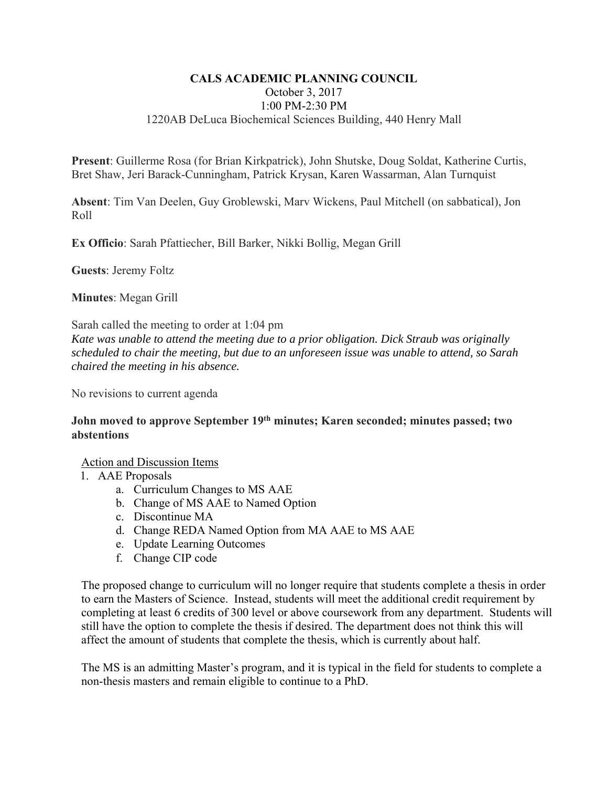### **CALS ACADEMIC PLANNING COUNCIL**  October 3, 2017 1:00 PM-2:30 PM 1220AB DeLuca Biochemical Sciences Building, 440 Henry Mall

**Present**: Guillerme Rosa (for Brian Kirkpatrick), John Shutske, Doug Soldat, Katherine Curtis, Bret Shaw, Jeri Barack-Cunningham, Patrick Krysan, Karen Wassarman, Alan Turnquist

**Absent**: Tim Van Deelen, Guy Groblewski, Marv Wickens, Paul Mitchell (on sabbatical), Jon Roll

**Ex Officio**: Sarah Pfattiecher, Bill Barker, Nikki Bollig, Megan Grill

**Guests**: Jeremy Foltz

**Minutes**: Megan Grill

Sarah called the meeting to order at 1:04 pm *Kate was unable to attend the meeting due to a prior obligation. Dick Straub was originally scheduled to chair the meeting, but due to an unforeseen issue was unable to attend, so Sarah chaired the meeting in his absence.* 

No revisions to current agenda

### **John moved to approve September 19th minutes; Karen seconded; minutes passed; two abstentions**

#### Action and Discussion Items

- 1. AAE Proposals
	- a. Curriculum Changes to MS AAE
	- b. Change of MS AAE to Named Option
	- c. Discontinue MA
	- d. Change REDA Named Option from MA AAE to MS AAE
	- e. Update Learning Outcomes
	- f. Change CIP code

The proposed change to curriculum will no longer require that students complete a thesis in order to earn the Masters of Science. Instead, students will meet the additional credit requirement by completing at least 6 credits of 300 level or above coursework from any department. Students will still have the option to complete the thesis if desired. The department does not think this will affect the amount of students that complete the thesis, which is currently about half.

The MS is an admitting Master's program, and it is typical in the field for students to complete a non-thesis masters and remain eligible to continue to a PhD.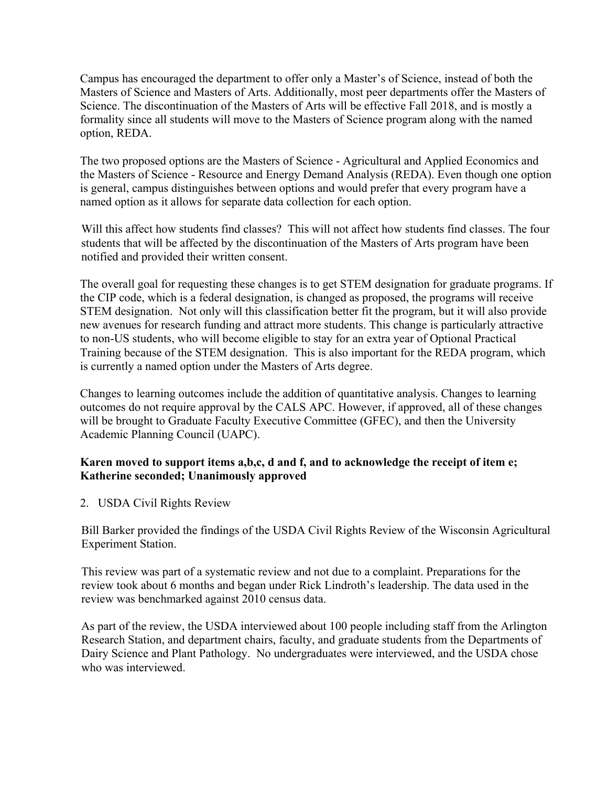Campus has encouraged the department to offer only a Master's of Science, instead of both the Masters of Science and Masters of Arts. Additionally, most peer departments offer the Masters of Science. The discontinuation of the Masters of Arts will be effective Fall 2018, and is mostly a formality since all students will move to the Masters of Science program along with the named option, REDA.

The two proposed options are the Masters of Science - Agricultural and Applied Economics and the Masters of Science - Resource and Energy Demand Analysis (REDA). Even though one option is general, campus distinguishes between options and would prefer that every program have a named option as it allows for separate data collection for each option.

Will this affect how students find classes? This will not affect how students find classes. The four students that will be affected by the discontinuation of the Masters of Arts program have been notified and provided their written consent.

The overall goal for requesting these changes is to get STEM designation for graduate programs. If the CIP code, which is a federal designation, is changed as proposed, the programs will receive STEM designation. Not only will this classification better fit the program, but it will also provide new avenues for research funding and attract more students. This change is particularly attractive to non-US students, who will become eligible to stay for an extra year of Optional Practical Training because of the STEM designation. This is also important for the REDA program, which is currently a named option under the Masters of Arts degree.

Changes to learning outcomes include the addition of quantitative analysis. Changes to learning outcomes do not require approval by the CALS APC. However, if approved, all of these changes will be brought to Graduate Faculty Executive Committee (GFEC), and then the University Academic Planning Council (UAPC).

# **Karen moved to support items a,b,c, d and f, and to acknowledge the receipt of item e; Katherine seconded; Unanimously approved**

2. USDA Civil Rights Review

Bill Barker provided the findings of the USDA Civil Rights Review of the Wisconsin Agricultural Experiment Station.

This review was part of a systematic review and not due to a complaint. Preparations for the review took about 6 months and began under Rick Lindroth's leadership. The data used in the review was benchmarked against 2010 census data.

As part of the review, the USDA interviewed about 100 people including staff from the Arlington Research Station, and department chairs, faculty, and graduate students from the Departments of Dairy Science and Plant Pathology. No undergraduates were interviewed, and the USDA chose who was interviewed.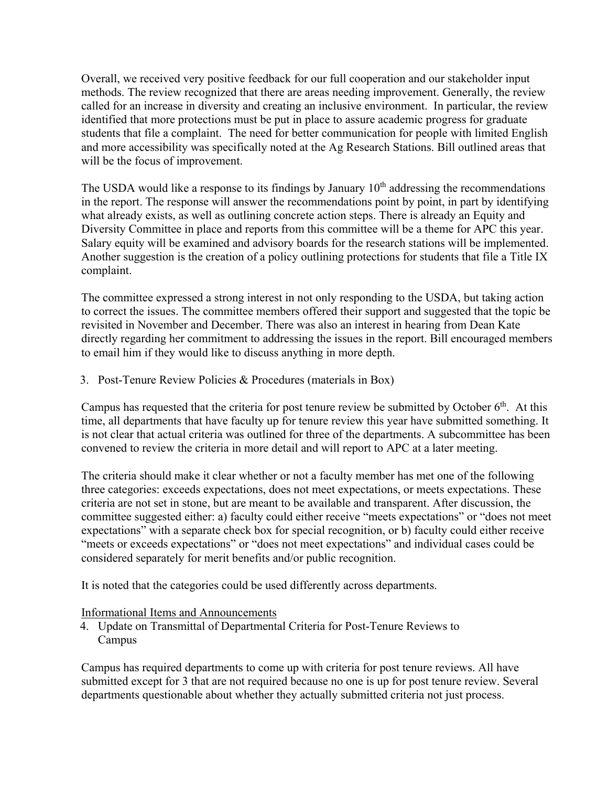Overall, we received very positive feedback for our full cooperation and our stakeholder input methods. The review recognized that there are areas needing improvement. Generally, the review called for an increase in diversity and creating an inclusive environment. In particular, the review identified that more protections must be put in place to assure academic progress for graduate students that file a complaint. The need for better communication for people with limited English and more accessibility was specifically noted at the Ag Research Stations. Bill outlined areas that will be the focus of improvement.

The USDA would like a response to its findings by January  $10<sup>th</sup>$  addressing the recommendations in the report. The response will answer the recommendations point by point, in part by identifying what already exists, as well as outlining concrete action steps. There is already an Equity and Diversity Committee in place and reports from this committee will be a theme for APC this year. Salary equity will be examined and advisory boards for the research stations will be implemented. Another suggestion is the creation of a policy outlining protections for students that file a Title IX complaint.

The committee expressed a strong interest in not only responding to the USDA, but taking action to correct the issues. The committee members offered their support and suggested that the topic be revisited in November and December. There was also an interest in hearing from Dean Kate directly regarding her commitment to addressing the issues in the report. Bill encouraged members to email him if they would like to discuss anything in more depth.

3. Post-Tenure Review Policies & Procedures (materials in Box)

Campus has requested that the criteria for post tenure review be submitted by October  $6<sup>th</sup>$ . At this time, all departments that have faculty up for tenure review this year have submitted something. It is not clear that actual criteria was outlined for three of the departments. A subcommittee has been convened to review the criteria in more detail and will report to APC at a later meeting.

The criteria should make it clear whether or not a faculty member has met one of the following three categories: exceeds expectations, does not meet expectations, or meets expectations. These criteria are not set in stone, but are meant to be available and transparent. After discussion, the committee suggested either: a) faculty could either receive "meets expectations" or "does not meet expectations" with a separate check box for special recognition, or b) faculty could either receive "meets or exceeds expectations" or "does not meet expectations" and individual cases could be considered separately for merit benefits and/or public recognition.

It is noted that the categories could be used differently across departments.

# Informational Items and Announcements

4. Update on Transmittal of Departmental Criteria for Post-Tenure Reviews to Campus

Campus has required departments to come up with criteria for post tenure reviews. All have submitted except for 3 that are not required because no one is up for post tenure review. Several departments questionable about whether they actually submitted criteria not just process.